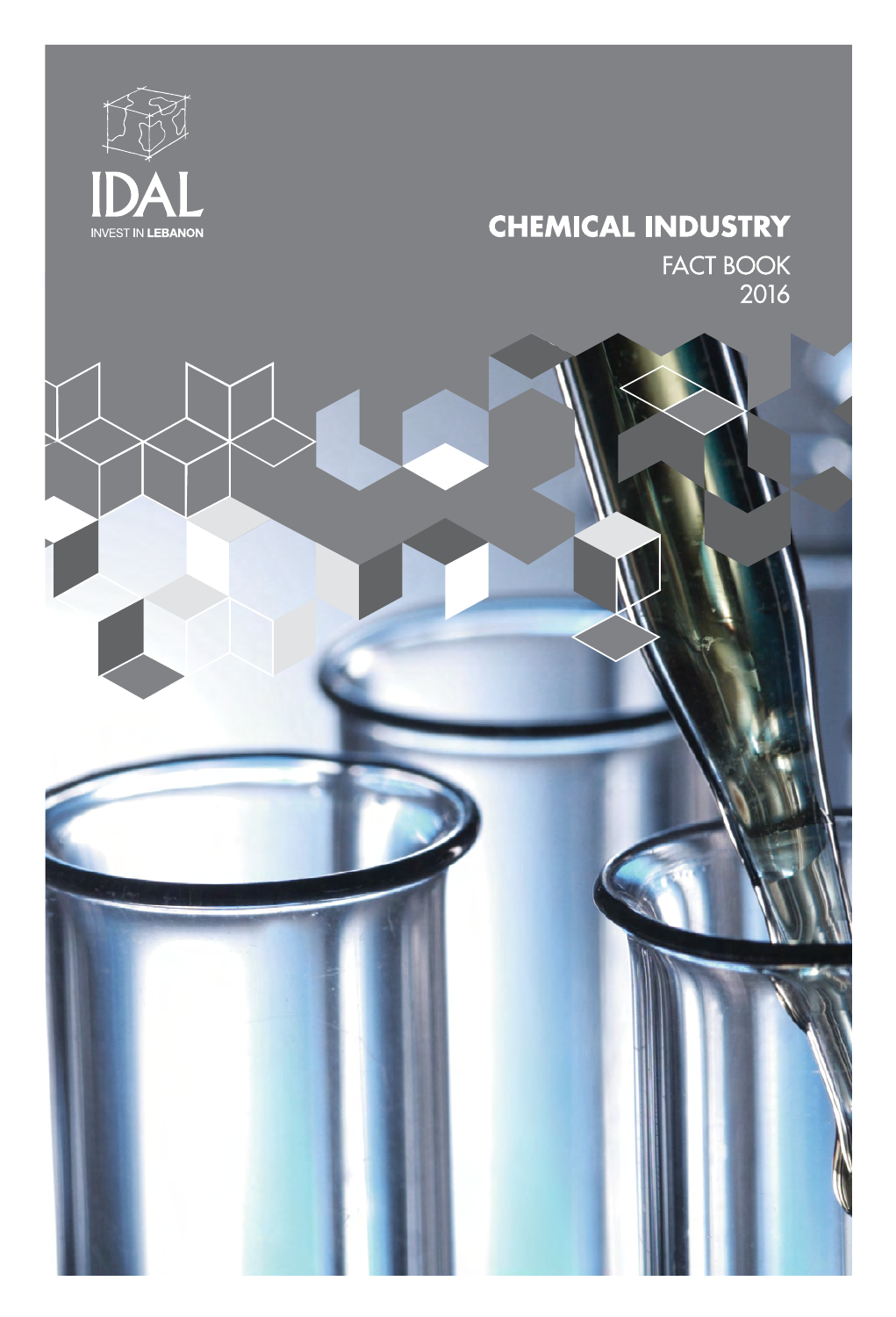

# **CHEMICAL INDUSTRY** FACT BOOK<br>2016

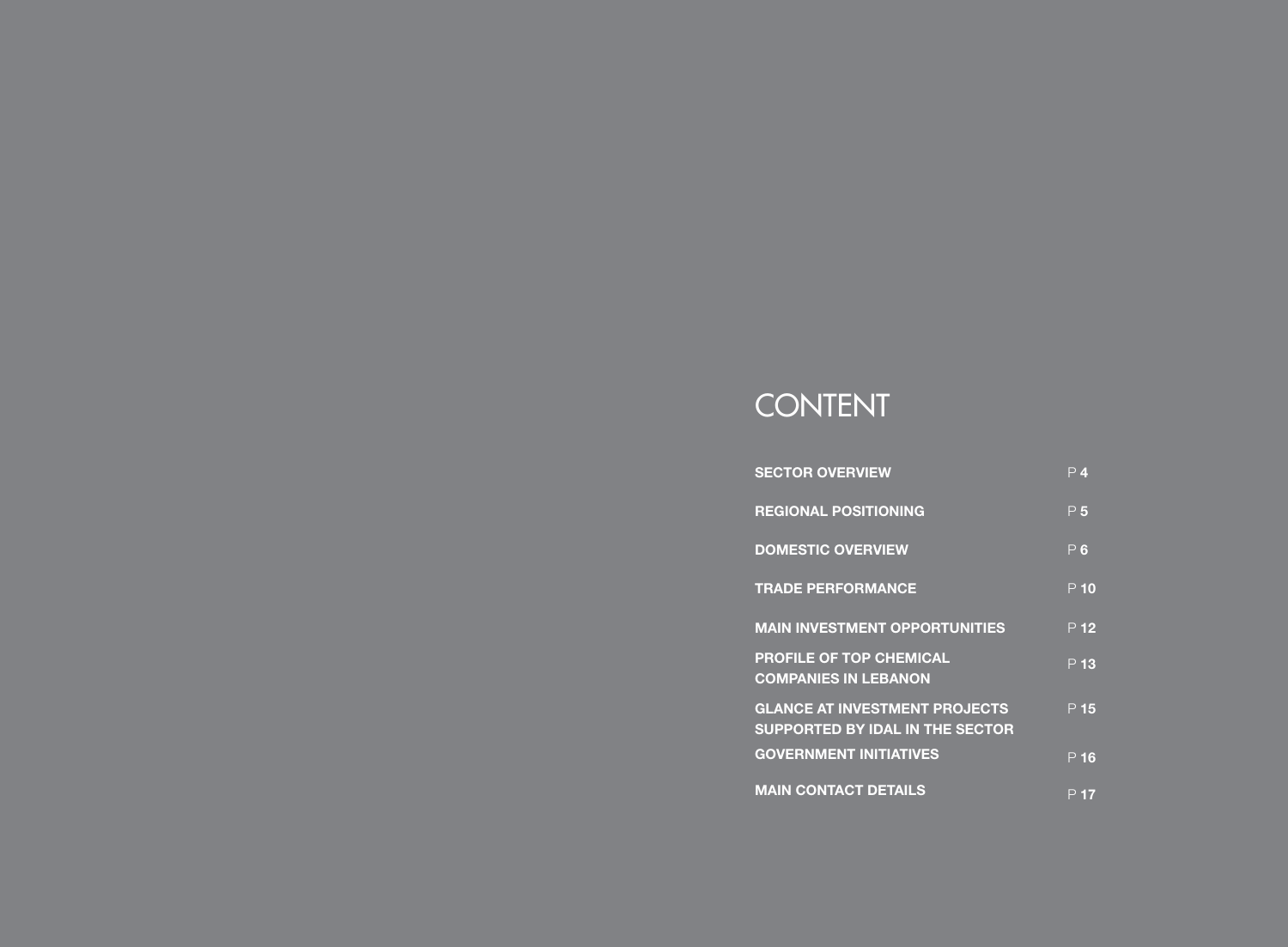# CONTENT

| <b>SECTOR OVERVIEW</b>                                                         | P 4             |
|--------------------------------------------------------------------------------|-----------------|
| <b>REGIONAL POSITIONING</b>                                                    | P <sub>5</sub>  |
| <b>DOMESTIC OVERVIEW</b>                                                       | P6              |
| <b>TRADE PERFORMANCE</b>                                                       | $P$ 10          |
| <b>MAIN INVESTMENT OPPORTUNITIES</b>                                           | P <sub>12</sub> |
| <b>PROFILE OF TOP CHEMICAL</b><br><b>COMPANIES IN LEBANON</b>                  | P <sub>13</sub> |
| <b>GLANCE AT INVESTMENT PROJECTS</b><br><b>SUPPORTED BY IDAL IN THE SECTOR</b> | P <sub>15</sub> |
| <b>GOVERNMENT INITIATIVES</b>                                                  | $P$ 16          |
| <b>MAIN CONTACT DETAILS</b>                                                    | P 17            |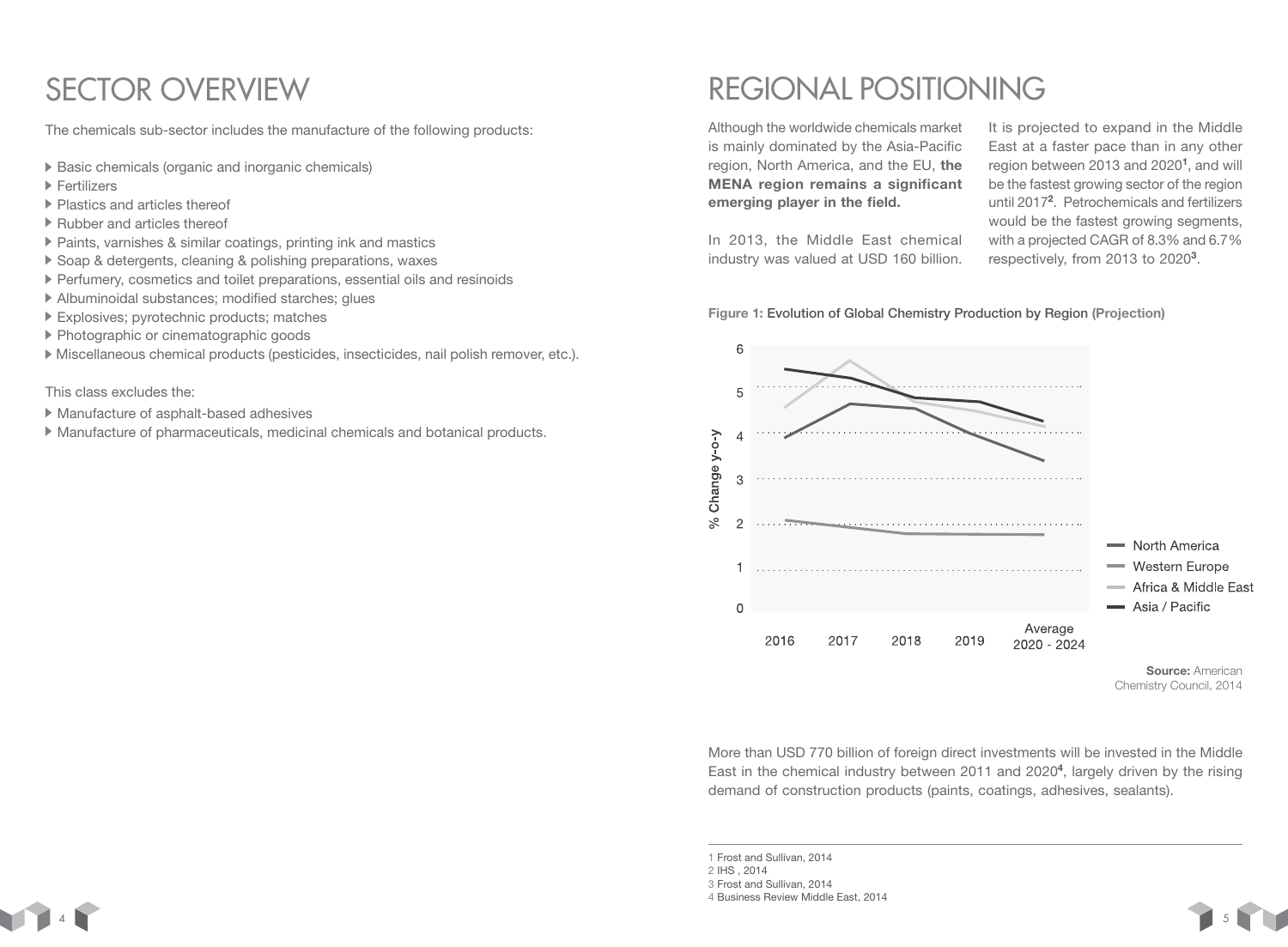The chemicals sub-sector includes the manufacture of the following products:

- ▶ Basic chemicals (organic and inorganic chemicals)
- ▶ Fertilizers
- Plastics and articles thereof
- ▶ Rubber and articles thereof
- ▶ Paints, varnishes & similar coatings, printing ink and mastics
- ▶ Soap & detergents, cleaning & polishing preparations, waxes
- Perfumery, cosmetics and toilet preparations, essential oils and resinoids
- Albuminoidal substances; modified starches; glues
- Explosives; pyrotechnic products; matches
- ▶ Photographic or cinematographic goods
- Miscellaneous chemical products (pesticides, insecticides, nail polish remover, etc.).

### This class excludes the:

- Manufacture of asphalt-based adhesives
- Manufacture of pharmaceuticals, medicinal chemicals and botanical products.

# SECTOR OVERVIEW REGIONAL POSITIONING

Although the worldwide chemicals market is mainly dominated by the Asia-Pacific region, North America, and the EU, the MENA region remains a significant emerging player in the field.

In 2013, the Middle East chemical industry was valued at USD 160 billion.

It is projected to expand in the Middle East at a faster pace than in any other region between 2013 and 2020<sup>1</sup>, and will be the fastest growing sector of the region until 2017<sup>2</sup>. Petrochemicals and fertilizers would be the fastest growing segments, with a projected CAGR of 8.3% and 6.7 % respectively, from 2013 to 2020<sup>3</sup>.



More than USD 770 billion of foreign direct investments will be invested in the Middle East in the chemical industry between 2011 and 2020<sup>4</sup>, largely driven by the rising demand of construction products (paints, coatings, adhesives, sealants).

2 IHS , 2014

<sup>4</sup> Business Review Middle East, 2014





<sup>1</sup> Frost and Sullivan, 2014

<sup>3</sup> Frost and Sullivan, 2014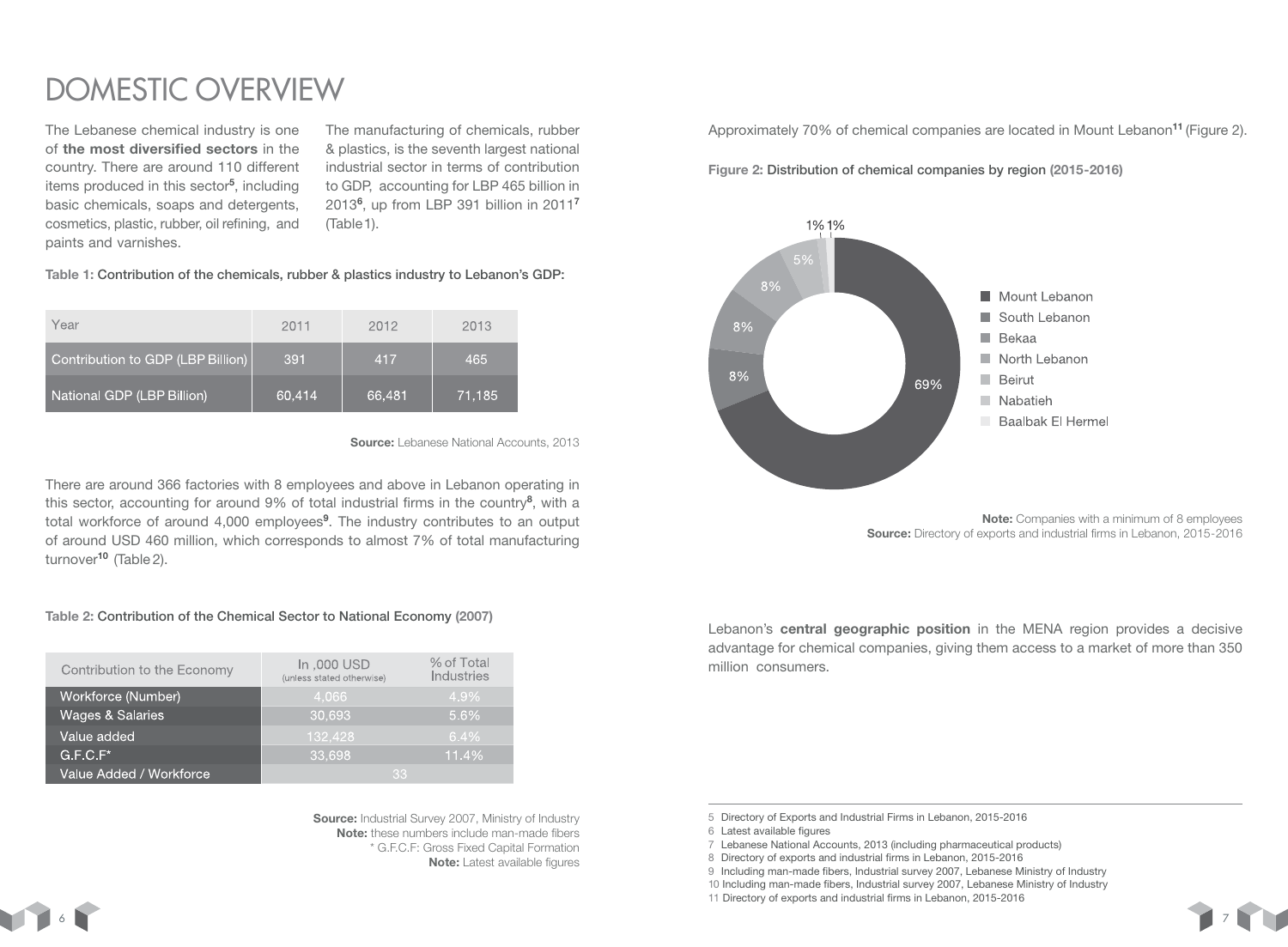## DOMESTIC OVERVIEW

The Lebanese chemical industry is one of the most diversified sectors in the country. There are around 110 different items produced in this sector<sup>5</sup>, including basic chemicals, soaps and detergents, cosmetics, plastic, rubber, oil refining, and paints and varnishes.

The manufacturing of chemicals, rubber & plastics, is the seventh largest national industrial sector in terms of contribution to GDP, accounting for LBP 465 billion in 2013<sup>6</sup>, up from LBP 391 billion in 2011<sup>7</sup> (Table1).

Table 1: Contribution of the chemicals, rubber & plastics industry to Lebanon's GDP:

| Year                              | 2011   | 2012   | 2013   |
|-----------------------------------|--------|--------|--------|
| Contribution to GDP (LBP Billion) | 391    | 417    | 465    |
| National GDP (LBP Billion)        | 60,414 | 66,481 | 71,185 |

Source: Lebanese National Accounts, 2013

There are around 366 factories with 8 employees and above in Lebanon operating in this sector, accounting for around 9% of total industrial firms in the country<sup>8</sup>, with a total workforce of around 4,000 employees<sup>9</sup>. The industry contributes to an output of around USD 460 million, which corresponds to almost 7% of total manufacturing turnover<sup>10</sup> (Table 2).

### Table 2: Contribution of the Chemical Sector to National Economy (2007)

| Contribution to the Economy | In,000 USD<br>(unless stated otherwise) | % of Total<br>Industries |
|-----------------------------|-----------------------------------------|--------------------------|
| Workforce (Number)          | 4,066                                   | 4.9%                     |
| <b>Wages &amp; Salaries</b> | 30,693                                  | 5.6%                     |
| Value added                 | 132,428                                 | $6.4\%$                  |
| $G.F.C.F^*$                 | 33,698                                  | 11.4%                    |
| Value Added / Workforce     | 33                                      |                          |

Source: Industrial Survey 2007, Ministry of Industry Note: these numbers include man-made fibers \* G.F.C.F: Gross Fixed Capital Formation Note: Latest available figures

Approximately 70% of chemical companies are located in Mount Lebanon<sup>11</sup> (Figure 2).

Figure 2: Distribution of chemical companies by region (2015-2016)



Note: Companies with a minimum of 8 employees Source: Directory of exports and industrial firms in Lebanon, 2015-2016

Lebanon's central geographic position in the MENA region provides a decisive advantage for chemical companies, giving them access to a market of more than 350 million consumers.

5 Directory of Exports and Industrial Firms in Lebanon, 2015-2016

6 Latest available figures

- 7 Lebanese National Accounts, 2013 (including pharmaceutical products)
- 8 Directory of exports and industrial firms in Lebanon, 2015-2016
- 9 Including man-made fibers, Industrial survey 2007, Lebanese Ministry of Industry
- 10 Including man-made fibers, Industrial survey 2007, Lebanese Ministry of Industry
- 11 Directory of exports and industrial firms in Lebanon, 2015-2016

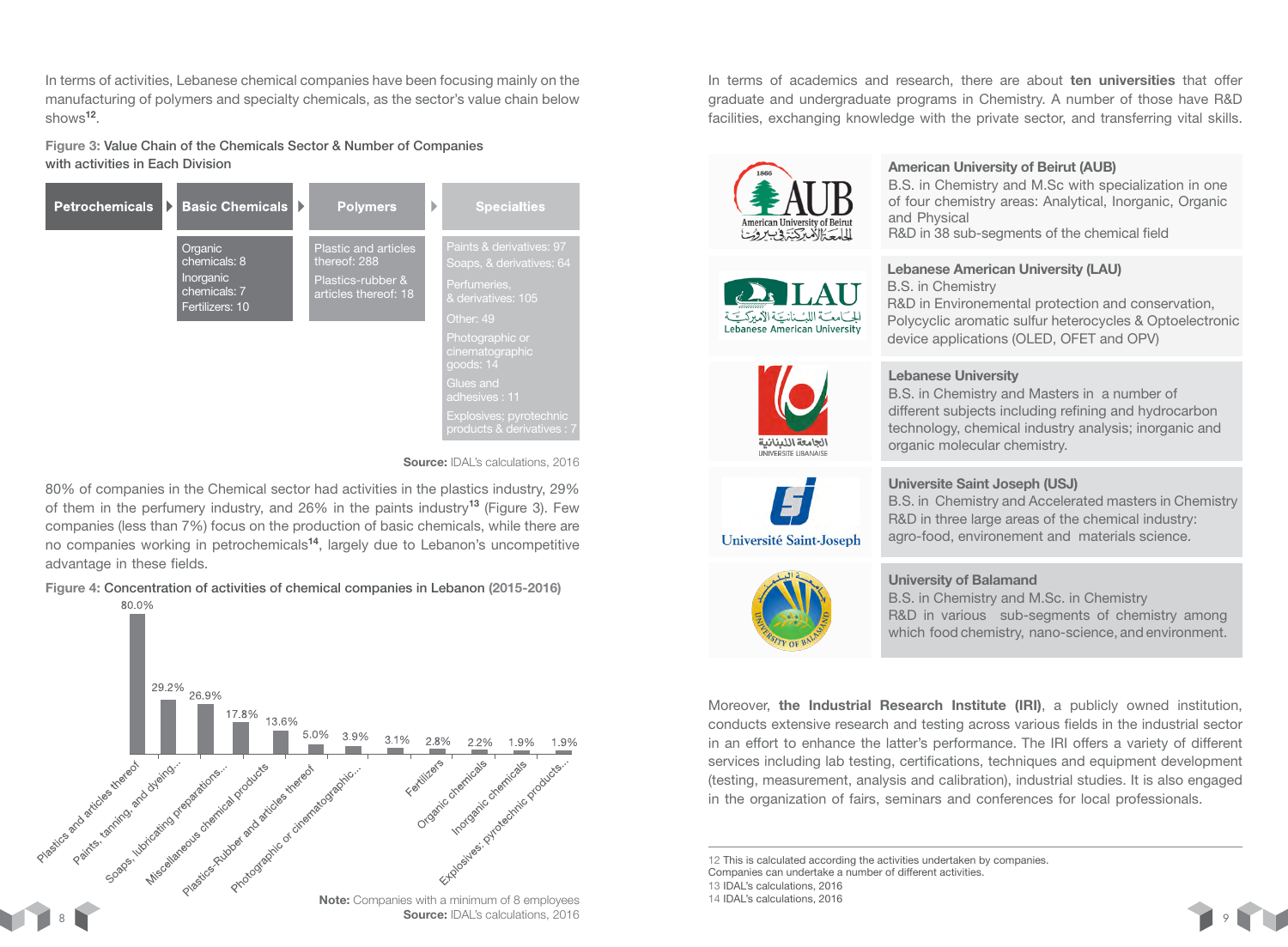In terms of activities, Lebanese chemical companies have been focusing mainly on the manufacturing of polymers and specialty chemicals, as the sector's value chain below shows<sup>12</sup>

Figure 3: Value Chain of the Chemicals Sector & Number of Companies with activities in Each Division



#### Source: IDAL's calculations, 2016

80% of companies in the Chemical sector had activities in the plastics industry, 29% of them in the perfumery industry, and  $26\%$  in the paints industry<sup>13</sup> (Figure 3). Few companies (less than 7%) focus on the production of basic chemicals, while there are no companies working in petrochemicals<sup>14</sup>, largely due to Lebanon's uncompetitive advantage in these fields.

Figure 4: Concentration of activities of chemical companies in Lebanon (2015-2016)



In terms of academics and research, there are about ten universities that offer graduate and undergraduate programs in Chemistry. A number of those have R&D facilities, exchanging knowledge with the private sector, and transferring vital skills.



12 This is calculated according the activities undertaken by companies.

Companies can undertake a number of different activities.



<sup>13</sup> IDAL's calculations, 2016

<sup>14</sup> IDAL's calculations, 2016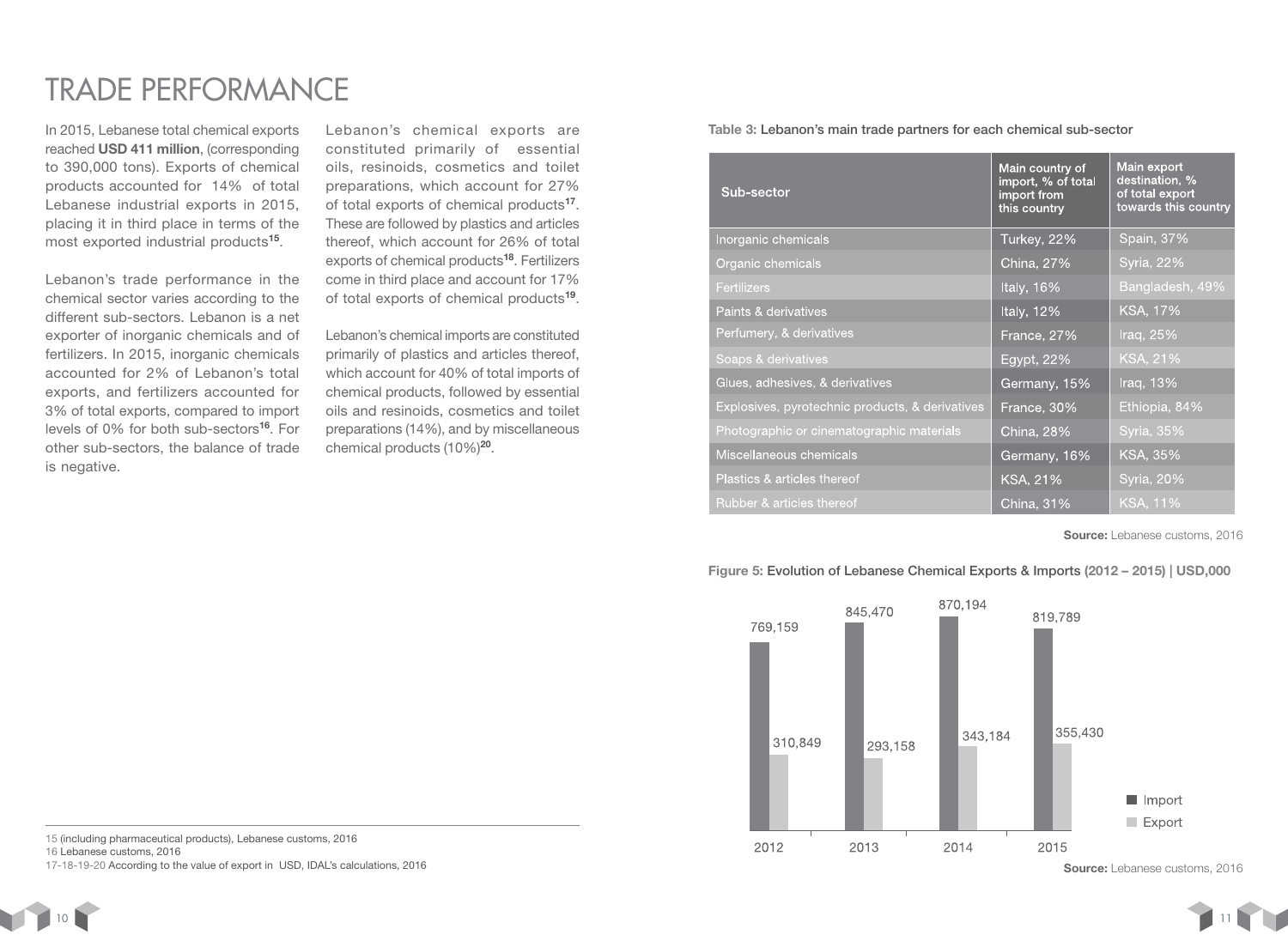## TRADE PERFORMANCE

In 2015, Lebanese total chemical exports reached USD 411 million, (corresponding to 390,000 tons). Exports of chemical products accounted for 14% of total Lebanese industrial exports in 2015, placing it in third place in terms of the most exported industrial products<sup>15</sup>.

Lebanon's trade performance in the chemical sector varies according to the different sub-sectors. Lebanon is a net exporter of inorganic chemicals and of fertilizers. In 2015, inorganic chemicals accounted for 2% of Lebanon's total exports, and fertilizers accounted for 3% of total exports, compared to import levels of 0% for both sub-sectors<sup>16</sup>. For other sub-sectors, the balance of trade is negative.

Lebanon's chemical exports are constituted primarily of essential oils, resinoids, cosmetics and toilet preparations, which account for 27% of total exports of chemical products<sup>17</sup>. These are followed by plastics and articles thereof, which account for 26% of total exports of chemical products<sup>18</sup>. Fertilizers come in third place and account for 17% of total exports of chemical products<sup>19</sup>.

Lebanon's chemical imports are constituted primarily of plastics and articles thereof, which account for 40% of total imports of chemical products, followed by essential oils and resinoids, cosmetics and toilet preparations (14%), and by miscellaneous chemical products (10%)<sup>20</sup>.

Table 3: Lebanon's main trade partners for each chemical sub-sector

| Sub-sector                                      | Main country of<br>import, % of total<br>import from<br>this country | Main export<br>destination, %<br>of total export<br>towards this country |
|-------------------------------------------------|----------------------------------------------------------------------|--------------------------------------------------------------------------|
| Inorganic chemicals                             | Turkey, 22%                                                          | Spain, 37%                                                               |
| Organic chemicals                               | China, 27%                                                           | Syria, 22%                                                               |
| <b>Fertilizers</b>                              | Italy, 16%                                                           | Bangladesh, 49%                                                          |
| Paints & derivatives                            | Italy, 12%                                                           | KSA, 17%                                                                 |
| Perfumery, & derivatives                        | France, 27%                                                          | Iraq, 25%                                                                |
| Soaps & derivatives                             | Egypt, 22%                                                           | KSA, 21%                                                                 |
| Glues, adhesives, & derivatives                 | Germany, 15%                                                         | Iraq, 13%                                                                |
| Explosives, pyrotechnic products, & derivatives | France, 30%                                                          | Ethiopia, 84%                                                            |
| Photographic or cinematographic materials       | <b>China</b> , 28%                                                   | Syria, 35%                                                               |
| Miscellaneous chemicals                         | Germany, 16%                                                         | KSA, 35%                                                                 |
| Plastics & articles thereof                     | <b>KSA, 21%</b>                                                      | <b>Syria, 20%</b>                                                        |
| Rubber & articles thereof                       | China, 31%                                                           | $KSA$ , 11%                                                              |

Source: Lebanese customs, 2016

Figure 5: Evolution of Lebanese Chemical Exports & Imports (2012 – 2015) | USD,000



15 (including pharmaceutical products), Lebanese customs, 2016

16 Lebanese customs, 2016

17-18-19-20 According to the value of export in USD, IDAL's calculations, 2016



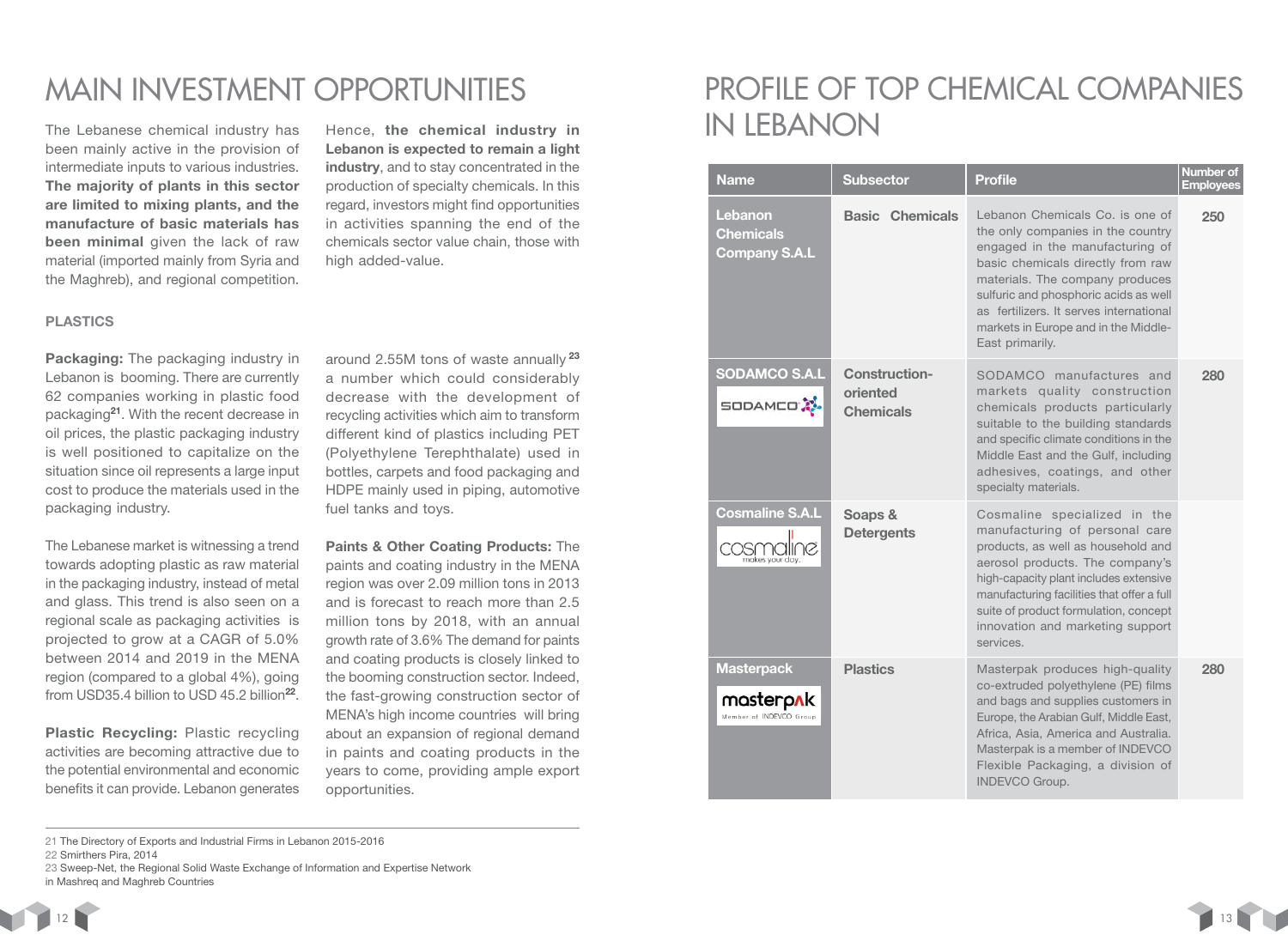been mainly active in the provision of intermediate inputs to various industries. The majority of plants in this sector are limited to mixing plants, and the manufacture of basic materials has been minimal given the lack of raw material (imported mainly from Syria and the Maghreb), and regional competition.

### PLASTICS

Packaging: The packaging industry in Lebanon is booming. There are currently 62 companies working in plastic food packaging<sup>21</sup>. With the recent decrease in oil prices, the plastic packaging industry is well positioned to capitalize on the situation since oil represents a large input cost to produce the materials used in the packaging industry.

The Lebanese market is witnessing a trend towards adopting plastic as raw material in the packaging industry, instead of metal and glass. This trend is also seen on a regional scale as packaging activities is projected to grow at a CAGR of 5.0% between 2014 and 2019 in the MENA region (compared to a global 4%), going from USD35.4 billion to USD 45.2 billion<sup>22</sup>.

Plastic Recycling: Plastic recycling activities are becoming attractive due to the potential environmental and economic benefits it can provide. Lebanon generates

Hence, the chemical industry in Lebanon is expected to remain a light industry, and to stay concentrated in the production of specialty chemicals. In this regard, investors might find opportunities in activities spanning the end of the chemicals sector value chain, those with high added-value.

around 2.55M tons of waste annually<sup>23</sup> a number which could considerably decrease with the development of recycling activities which aim to transform different kind of plastics including PET (Polyethylene Terephthalate) used in bottles, carpets and food packaging and HDPE mainly used in piping, automotive fuel tanks and toys.

Paints & Other Coating Products: The paints and coating industry in the MENA region was over 2.09 million tons in 2013 and is forecast to reach more than 2.5 million tons by 2018, with an annual growth rate of 3.6% The demand for paints and coating products is closely linked to the booming construction sector. Indeed, the fast-growing construction sector of MENA's high income countries will bring about an expansion of regional demand in paints and coating products in the years to come, providing ample export opportunities.

### MAIN INVESTMENT OPPORTUNITIES PROFILE OF TOP CHEMICAL COMPANIES The Lebanese chemical industry has Hence, the chemical industry in  $\blacksquare$   $\blacksquare$   $\blacksquare$

| <b>Name</b>                                                              | <b>Subsector</b>                                     | <b>Profile</b>                                                                                                                                                                                                                                                                                                                 | Number of<br><b>Employees</b> |
|--------------------------------------------------------------------------|------------------------------------------------------|--------------------------------------------------------------------------------------------------------------------------------------------------------------------------------------------------------------------------------------------------------------------------------------------------------------------------------|-------------------------------|
| Lebanon<br><b>Chemicals</b><br><b>Company S.A.L</b>                      | <b>Basic Chemicals</b>                               | Lebanon Chemicals Co. is one of<br>the only companies in the country<br>engaged in the manufacturing of<br>basic chemicals directly from raw<br>materials. The company produces<br>sulfuric and phosphoric acids as well<br>as fertilizers. It serves international<br>markets in Europe and in the Middle-<br>East primarily. | 250                           |
| <b>SODAMCO S.A.L</b><br><b>SODAMED</b>                                   | <b>Construction-</b><br>oriented<br><b>Chemicals</b> | SODAMCO manufactures and<br>markets quality construction<br>chemicals products particularly<br>suitable to the building standards<br>and specific climate conditions in the<br>Middle East and the Gulf, including<br>adhesives, coatings, and other<br>specialty materials.                                                   | 280                           |
| <b>Cosmaline S.A.L</b><br>makes your day.                                | Soaps &<br><b>Detergents</b>                         | Cosmaline specialized in the<br>manufacturing of personal care<br>products, as well as household and<br>aerosol products. The company's<br>high-capacity plant includes extensive<br>manufacturing facilities that offer a full<br>suite of product formulation, concept<br>innovation and marketing support<br>services.      |                               |
| <b>Masterpack</b><br>masterp <mark>n</mark> k<br>Member of INDEVCO Group | <b>Plastics</b>                                      | Masterpak produces high-quality<br>co-extruded polyethylene (PE) films<br>and bags and supplies customers in<br>Europe, the Arabian Gulf, Middle East,<br>Africa, Asia, America and Australia.<br>Masterpak is a member of INDEVCO<br>Flexible Packaging, a division of<br><b>INDEVCO Group.</b>                               | 280                           |

22 Smirthers Pira, 2014

 $12$  13  $\sim$  13  $\sim$  13  $\sim$  13  $\sim$  13  $\sim$  13  $\sim$  13  $\sim$  13  $\sim$  13  $\sim$  13  $\sim$  13  $\sim$  13  $\sim$  13  $\sim$  13  $\sim$  13  $\sim$  13  $\sim$  13  $\sim$  13  $\sim$  13  $\sim$  13  $\sim$  13  $\sim$  13  $\sim$  13  $\sim$  13  $\sim$  13  $\sim$  13  $\sim$  13  $\sim$ 

<sup>21</sup> The Directory of Exports and Industrial Firms in Lebanon 2015-2016

<sup>23</sup> Sweep-Net, the Regional Solid Waste Exchange of Information and Expertise Network in Mashreq and Maghreb Countries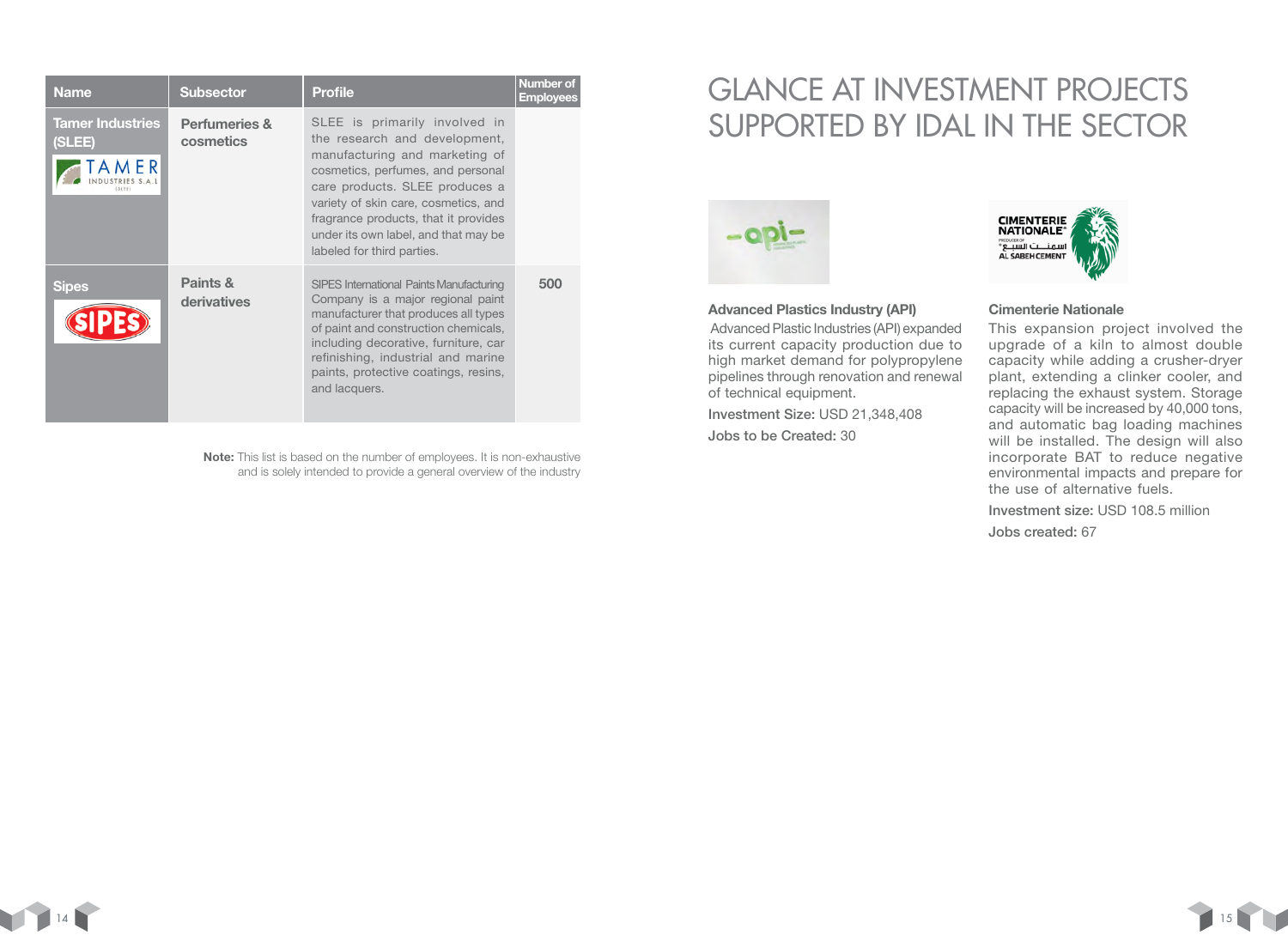| <b>Name</b>                       | <b>Subsector</b>                      | <b>Profile</b>                                                                                                                                                                                                                                                                                                                | Number of<br><b>Employees</b> |
|-----------------------------------|---------------------------------------|-------------------------------------------------------------------------------------------------------------------------------------------------------------------------------------------------------------------------------------------------------------------------------------------------------------------------------|-------------------------------|
| <b>Tamer Industries</b><br>(SLEE) | <b>Perfumeries &amp;</b><br>cosmetics | SLEE is primarily involved in<br>the research and development,<br>manufacturing and marketing of<br>cosmetics, perfumes, and personal<br>care products. SLEE produces a<br>variety of skin care, cosmetics, and<br>fragrance products, that it provides<br>under its own label, and that may be<br>labeled for third parties. |                               |
| <b>Sipes</b>                      | Paints &<br>derivatives               | SIPES International Paints Manufacturing<br>Company is a major regional paint<br>manufacturer that produces all types<br>of paint and construction chemicals,<br>including decorative, furniture, car<br>refinishing, industrial and marine<br>paints, protective coatings, resins,<br>and lacquers.                          | 500                           |

Note: This list is based on the number of employees. It is non-exhaustive and is solely intended to provide a general overview of the industry

### GLANCE AT INVESTMENT PROJECTS SUPPORTED BY IDAL IN THE SECTOR



#### Advanced Plastics Industry (API)

Advanced Plastic Industries (API) expanded its current capacity production due to high market demand for polypropylene pipelines through renovation and renewal of technical equipment.

Investment Size: USD 21,348,408 Jobs to be Created: 30



### Cimenterie Nationale

This expansion project involved the upgrade of a kiln to almost double capacity while adding a crusher-dryer plant, extending a clinker cooler, and replacing the exhaust system. Storage capacity will be increased by 40,000 tons, and automatic bag loading machines will be installed. The design will also incorporate BAT to reduce negative environmental impacts and prepare for the use of alternative fuels.

Investment size: USD 108.5 million

Jobs created: 67

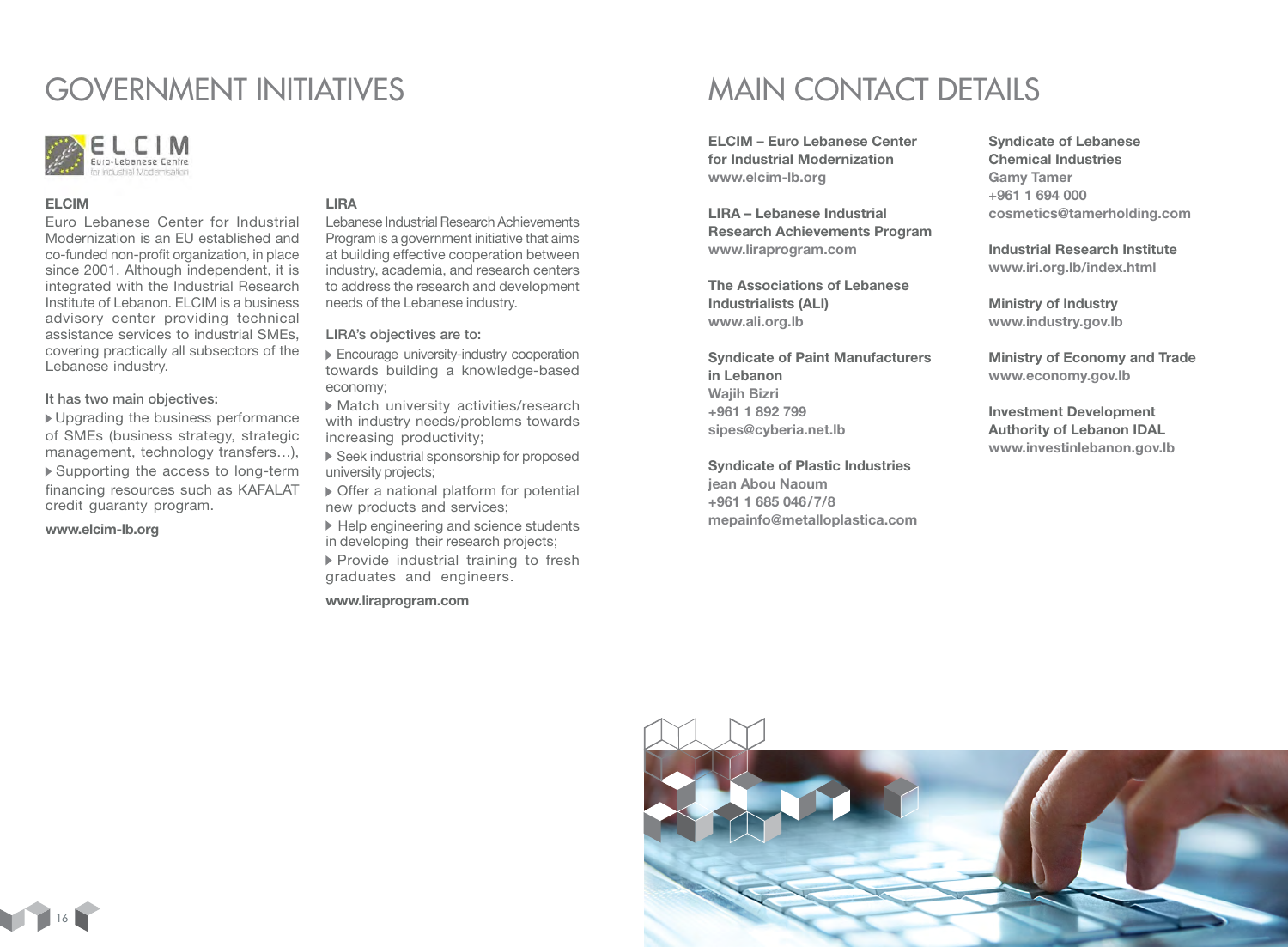### GOVERNMENT INITIATIVES



### ELCIM

Euro Lebanese Center for Industrial Modernization is an EU established and co-funded non-profit organization, in place since 2001. Although independent, it is integrated with the Industrial Research Institute of Lebanon. ELCIM is a business advisory center providing technical assistance services to industrial SMEs, covering practically all subsectors of the Lebanese industry.

### It has two main objectives:

 Upgrading the business performance of SMEs (business strategy, strategic management, technology transfers…), Supporting the access to long-term financing resources such as KAFALAT credit guaranty program.

www.elcim-lb.org

### LIRA

Lebanese Industrial Research Achievements Program is a government initiative that aims at building effective cooperation between industry, academia, and research centers to address the research and development needs of the Lebanese industry.

LIRA's objectives are to:

- Encourage university-industry cooperation towards building a knowledge-based economy;
- Match university activities/research with industry needs/problems towards increasing productivity;
- Seek industrial sponsorship for proposed university projects;
- Offer a national platform for potential new products and services;
- ▶ Help engineering and science students in developing their research projects;  $\blacktriangleright$  Provide industrial training to fresh graduates and engineers.

#### www.liraprogram.com

### MAIN CONTACT DETAILS

ELCIM – Euro Lebanese Center for Industrial Modernization www.elcim-lb.org

LIRA – Lebanese Industrial Research Achievements Program www.liraprogram.com

The Associations of Lebanese Industrialists (ALI) www.ali.org.lb

Syndicate of Paint Manufacturers in Lebanon Wajih Bizri +961 1 892 799 sipes@cyberia.net.lb

Syndicate of Plastic Industries jean Abou Naoum

+961 1 685 046/7/8 mepainfo@metalloplastica.com Syndicate of Lebanese Chemical Industries Gamy Tamer +961 1 694 000 cosmetics@tamerholding.com

Industrial Research Institute www.iri.org.lb/index.html

Ministry of Industry www.industry.gov.lb

Ministry of Economy and Trade www.economy.gov.lb

Investment Development Authority of Lebanon IDAL www.investinlebanon.gov.lb



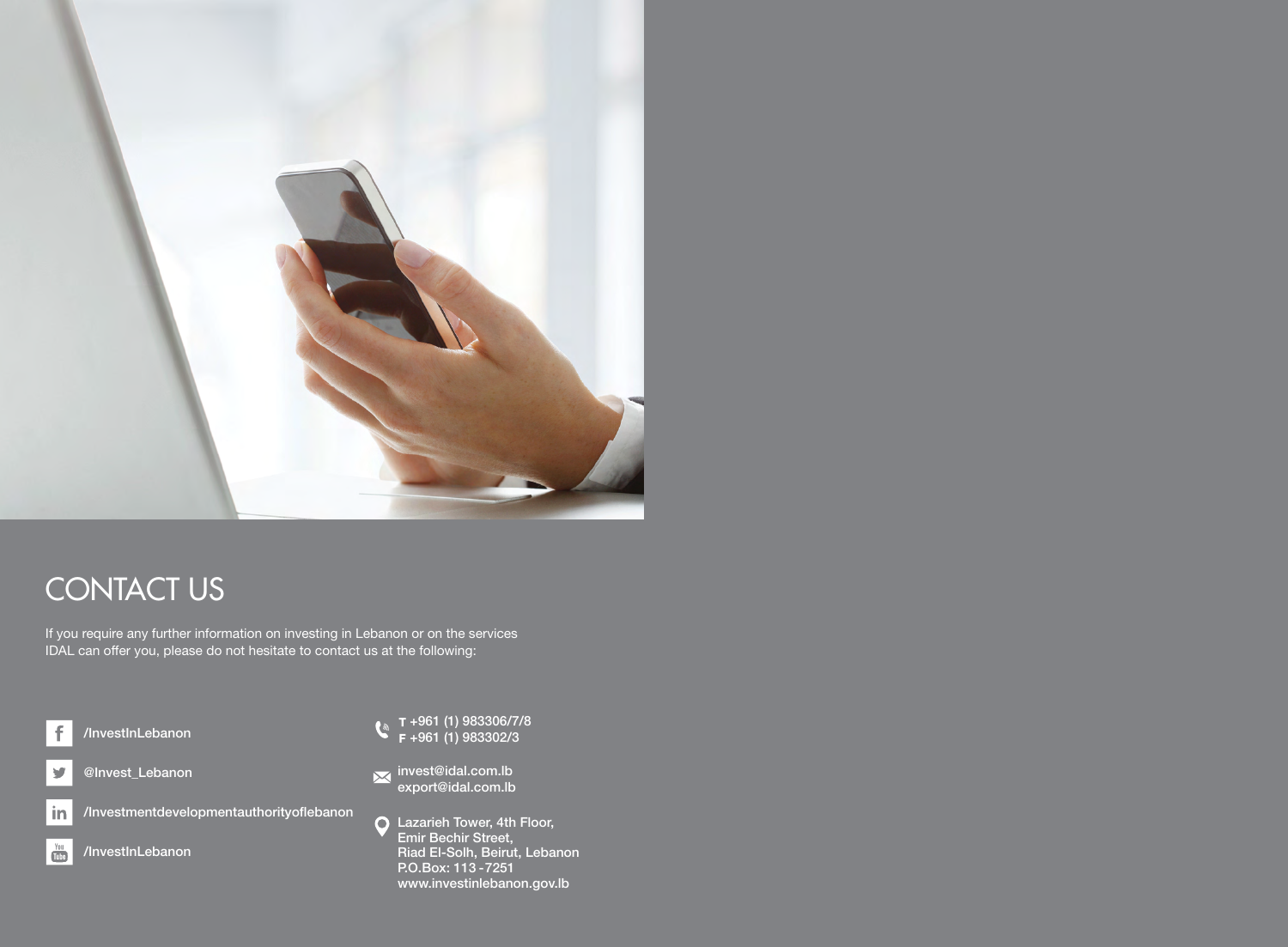

# **CONTACT US**

If you require any further information on investing in Lebanon or on the services IDAL can offer you, please do not hesitate to contact us at the following:



- +961 (1) 983306/7/8 +961 (1) 983302/3
- invest@idal.com.lb export@idal.com.lb
- Lazarieh Tower, 4th Floor, Emir Bechir Street, Riad El-Solh, Beirut, Lebanon P.O.Box: 113 -7251 www.investinlebanon.gov.lb